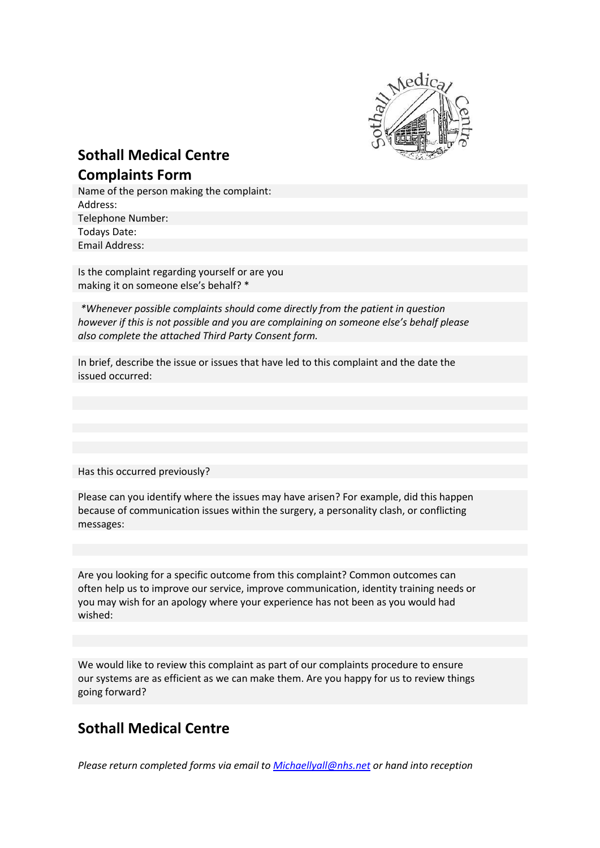

## **Sothall Medical Centre Complaints Form**

Name of the person making the complaint: Address: Telephone Number: Todays Date: Email Address:

Is the complaint regarding yourself or are you making it on someone else's behalf? \*

*\*Whenever possible complaints should come directly from the patient in question however if this is not possible and you are complaining on someone else's behalf please also complete the attached Third Party Consent form.*

In brief, describe the issue or issues that have led to this complaint and the date the issued occurred:

Has this occurred previously?

Please can you identify where the issues may have arisen? For example, did this happen because of communication issues within the surgery, a personality clash, or conflicting messages:

Are you looking for a specific outcome from this complaint? Common outcomes can often help us to improve our service, improve communication, identity training needs or you may wish for an apology where your experience has not been as you would had wished:

We would like to review this complaint as part of our complaints procedure to ensure our systems are as efficient as we can make them. Are you happy for us to review things going forward?

## **Sothall Medical Centre**

*Please return completed forms via email to [Michaellyall@nhs.net](mailto:Michaellyall@nhs.net) or hand into reception*